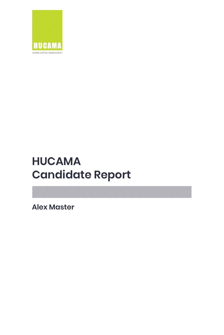

# **HUCAMA Candidate Report**

a kanaan kanaan kanaan kanaan kanaan kanaan kanaan kanaan kanaan kanaan kanaan kanaan kanaan kanaan kanaan kan

**Alex Master**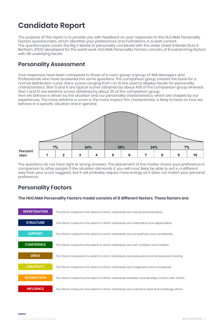## **Candidate Report**

The purpose of this report is to provide you with feedback on your responses to the HUCAMA Personality Factors questionnaire, which identifies your preferences and inclinations in a work context. The questionnaire covers the Big 5 Model of personality combined with the wider Great 8 Model (Kurz & Bartram, 2002) developed for the world work. HUCAMA Personality Factors consists of 8 overarching factors with 48 underlying facets.

## **Personality Assessment**

Your responses have been compared to those of a norm group, a group of 466 Managers and Professionals who have answered the same questions. The comparison group creates the basis for a normal distribution curve. Stens scores ranging from 1 to 10 are used to display results for personality characteristics. Sten 5 and 6 are typical scores obtained by about 40% of the comparison group whereas Sten 1 and 10 are extreme scores obtained by about 2% of the comparison group.

How we behave is driven by the situation and our personality characteristics, which are shaped by our experiences. The more extreme a score is, the more impact this characteristic is likely to have on how we behave in a specific situation and in general.



The questions do not have right or wrong answers. The placement of the marker shows your preference in comparison to other people. If the situation demands it, you will most likely be able to act in a different way than your score suggests, but it will probably require more energy as it does not match your personal preference.

### **Personality Factors**

**The HUCAMA Personality Factors model consists of 8 different factors. These factors are:**

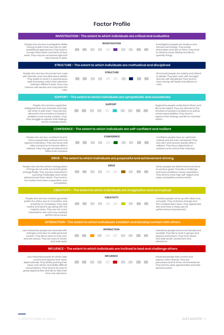## **Factor Profile**

| INVESTIGATION - The extent to which individuals are critical and evaluative                                                                                                                                                                                                         |                      |                                                                                                                                                                                                                                       |  |  |
|-------------------------------------------------------------------------------------------------------------------------------------------------------------------------------------------------------------------------------------------------------------------------------------|----------------------|---------------------------------------------------------------------------------------------------------------------------------------------------------------------------------------------------------------------------------------|--|--|
| People who are less investigative dislike<br>having to learn and may rely on well-<br>established approaches. They tend to<br>accept information and facts at face<br>value. They may be somewhat rigid and<br>lack interest in data.                                               | <b>INVESTIGATION</b> | Investigative people are studious and<br>harness technology. They probe<br>information and rely on facts. They tend<br>to reframe issues flexibly and like to<br>quantify things.                                                     |  |  |
| STRUCTURE - The extent to which individuals are methodical and disciplined                                                                                                                                                                                                          |                      |                                                                                                                                                                                                                                       |  |  |
| People who are less structured can cope<br>with disorder and care little about details.<br>They prefer to work in a spontaneous<br>style and easily switch their attention<br>between different tasks. They may<br>harbour self-doubts and may bend the<br>rules.                   | <b>STRUCTURE</b>     | Structured people are orderly and attend<br>to details. They plan work with foresight<br>and are self-disciplined. They tend to<br>have strong self-belief and adhere to<br>rules.                                                    |  |  |
| SUPPORT - The extent to which individuals are sympathetic and considerate                                                                                                                                                                                                           |                      |                                                                                                                                                                                                                                       |  |  |
| People who are less supportive<br>safeguard their own interests and help<br>out when it suits them. They are less<br>attuned to the emotions involved in<br>problems and society matters. They<br>may struggle to express their feelings<br>and to motivate others.                 | <b>SUPPORT</b>       | Supportive people understand others and<br>like to be helpful. They are attuned to the<br>emotions involved in problems as well as<br>social responsibilities. They tend to<br>express their feelings and like to motivate<br>others. |  |  |
| CONFIDENCE - The extent to which individuals are self-confident and resilient                                                                                                                                                                                                       |                      |                                                                                                                                                                                                                                       |  |  |
| People who are less confident tend to<br>have a pessimistic outlook and may<br>express frustrations. They are tense and<br>take a long time to recover after a<br>setback. They may get emotional and<br>follow their impulses.                                                     | <b>CONFIDENCE</b>    | Confident people have an optimistic<br>outlook and are even-tempered. They<br>are calm and recover quickly after a<br>setback. They focus objectively on<br>solutions and control their impulses.                                     |  |  |
| DRIVE - The extent to which individuals are purposeful and achievement striving                                                                                                                                                                                                     |                      |                                                                                                                                                                                                                                       |  |  |
| People who are less driven change plans<br>if things do not work out and let goals<br>emerge fluidly. They are less interested in<br>pursuing challenges and career<br>advancement than others. They tend to<br>be modest and value cooperation over<br>competition.                | <b>DRIVE</b>         | Driven people are determined and strive<br>to achieve goals. They like a challenge<br>and have ambitious career aspirations.<br>They tend to have high self-regard and<br>enjoy competitive environments.                             |  |  |
| CREATIVITY - The extent to which individuals are imaginative and conceptual                                                                                                                                                                                                         |                      |                                                                                                                                                                                                                                       |  |  |
| People who are less creative generally<br>prefer the status quo to innovation, and<br>simplicity to complexity. They seek<br>routine and tend to go along with the<br>majority views. They are not much<br>interested in arts and may overlook<br>performance issues.               | <b>CREATIVITY</b>    | Creative people come up with ideas and<br>concepts. They embrace change and<br>form independent views. They appreciate<br>arts and have a sharp eye for<br>performance improvement.                                                   |  |  |
| INTERACTION - The extent to which individuals establish and develop contact with others                                                                                                                                                                                             |                      |                                                                                                                                                                                                                                       |  |  |
| Less interactive people are reserved with<br>strangers and slow to make personal<br>contact. They like to work on their own<br>and are serious. They are wary of others<br>and seek quiet.                                                                                          | <b>INTERACTION</b>   | Interactive people tend to be friendly and<br>sociable. They like to work in groups and<br>express enthusiasm. They trust others<br>and seek action, excitement and<br>adventure.                                                     |  |  |
| INFLUENCE - The extent to which individuals are inclined to lead and challenge others                                                                                                                                                                                               |                      |                                                                                                                                                                                                                                       |  |  |
| Less influential people let others take<br>control and express their views<br>diplomatically. They dislike pushing their<br>views onto others and dislike difficult<br>conversations. They tend to be slow to<br>grasp opportunities and like to take their<br>time over decisions. | <b>INFLUENCE</b>     | Influential people take control and<br>express views directly. They are<br>persuasive and at times confrontational.<br>They tend to seize opportunities and take<br>decisive action.                                                  |  |  |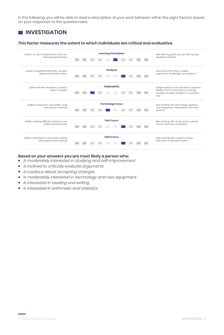In the following, you will be able to read a description of your work behavior within the eight factors based on your responses to the questionnaire.

## **INVESTIGATION**

#### **This factor measures the extent to which individuals are critical and evaluative.**



- $\bullet$ Is moderately interested in studying and self-improvement
- Is inclined to critically evaluate arguments  $\bullet$
- Is cautious about accepting changes  $\bullet$
- Is moderately interested in technology and new equipment  $\bullet$
- $\bullet$ Is interested in reading and writing
- Is interested in arithmetic and statistics $\bullet$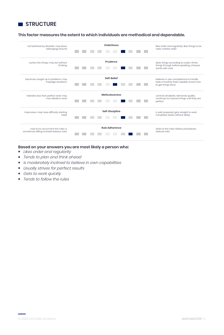

#### **This factor measures the extent to which individuals are methodical and dependable.**



- Likes order and regularity
- Tends to plan and think ahead  $\bullet$
- Is moderately inclined to believe in own capabilities
- Usually strives for perfect results  $\bullet$
- Gets to work quickly
- Tends to follow the rules $\bullet$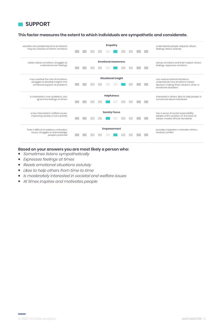

#### **This factor measures the extent to which individuals are sympathetic and considerate.**



- Sometimes listens sympathetically  $\bullet$
- Expresses feelings at times  $\bullet$
- Reads emotional situations astutely  $\bullet$
- Likes to help others from time to time
- Is moderately interested in societal and welfare issues
- At times inspires and motivates people $\bullet$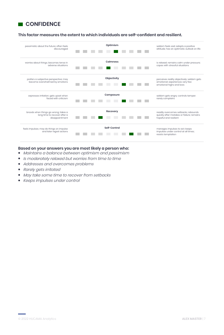

#### **This factor measures the extent to which individuals are self-confident and resilient.**



- Maintains <sup>a</sup> balance between optimism and pessimism  $\bullet$
- Is moderately relaxed but worries from time to time  $\bullet$
- Addresses and overcomes problems
- Rarely gets irritated
- May take some time to recover from setbacks
- Keeps impulses under control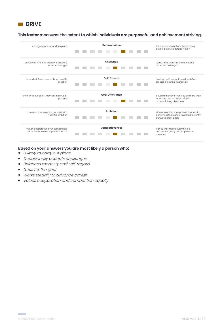

#### **This factor measures the extent to which individuals are purposeful and achievement striving.**



- Is likely to carry out plans
- Occasionally accepts challenges
- Balances modesty and self-regard
- Goes for the goal
- Works steadily to advance career  $\bullet$
- Values cooperation and competition equally $\bullet$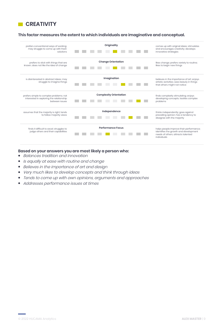

#### **This factor measures the extent to which individuals are imaginative and conceptual.**



- Balances tradition and innovation
- Is equally at ease with routine and change  $\bullet$
- Believes in the importance of art and design  $\bullet$
- Very much likes to develop concepts and think through ideas  $\bullet$
- Tends to come up with own opinions, arguments and approaches
- $\bullet$ Addresses performance issues at times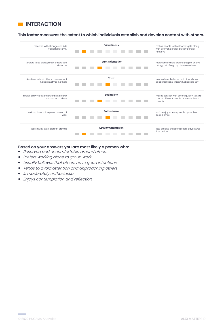

#### **This factor measures the extent to which individuals establish and develop contact with others.**



- Reserved and uncomfortable around others
- Prefers working alone to group work
- Usually believes that others have good intentions
- Tends to avoid attention and approaching others  $\bullet$
- Is moderately enthusiastic
- Enjoys contemplation and reflection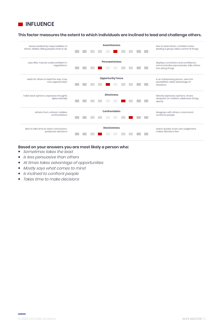

#### **This factor measures the extent to which individuals are inclined to lead and challenge others.**



- Sometimes takes the lead
- Is less persuasive than others
- At times takes advantage of opportunities
- Mostly says what comes to mind
- Is inclined to confront people
- Takes time to make decisions $\bullet$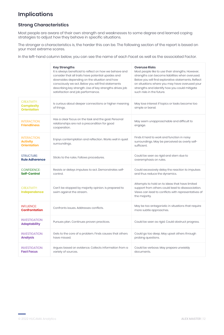## **Implications**

#### **Strong Characteristics**

Most people are aware of their own strength and weaknesses to some degree and learned coping strategies to adjust how they behave in specific situations.

The stronger a characteristics is, the harder this can be. The following section of the report is based on your most extreme scores.

In the left-hand column below, you can see the name of each Facet as well as the associated Factor.

|                                                               | <b>Key Strengths</b><br>It is always beneficial to reflect on how we behave and<br>consider that all traits have potential upsides and<br>downsides depending on the situation and how<br>consciously we act. Below you will find statements<br>describing key strength. Use of key strengths drives job<br>satisfaction and job performance. | <b>Overuse Risks</b><br>Most people like to use their strengths. However,<br>strengths can become liabilities when overused.<br>Below you will find explorative statements. Reflect<br>on situations where you may have overused your<br>strengths and identify how you could mitigate<br>such risks in the future. |
|---------------------------------------------------------------|-----------------------------------------------------------------------------------------------------------------------------------------------------------------------------------------------------------------------------------------------------------------------------------------------------------------------------------------------|---------------------------------------------------------------------------------------------------------------------------------------------------------------------------------------------------------------------------------------------------------------------------------------------------------------------|
| <b>CREATIVITY:</b><br><b>Complexity</b><br><b>Orientation</b> | Is curious about deeper connections or higher meaning<br>of things.                                                                                                                                                                                                                                                                           | May lose interest if topics or tasks become too<br>simple or banal.                                                                                                                                                                                                                                                 |
| <b>INTERACTION:</b><br><b>Friendliness</b>                    | Has a clear focus on the task and the goal. Personal<br>relationships are not a precondition for good<br>cooperation.                                                                                                                                                                                                                         | May seem unapproachable and difficult to<br>engage.                                                                                                                                                                                                                                                                 |
| <b>INTERACTION:</b><br><b>Activity</b><br><b>Orientation</b>  | Enjoys contemplation and reflection. Works well in quiet<br>surroundings.                                                                                                                                                                                                                                                                     | Finds it hard to work and function in noisy<br>surroundings. May be perceived as overly self-<br>sufficient.                                                                                                                                                                                                        |
| <b>STRUCTURE:</b><br><b>Rule Adherence</b>                    | Sticks to the rules. Follows procedures.                                                                                                                                                                                                                                                                                                      | Could be seen as rigid and stern due to<br>overemphasis on rules.                                                                                                                                                                                                                                                   |
| <b>CONFIDENCE:</b><br>Self-Control                            | Resists or delays impulses to act. Demonstrates self-<br>control.                                                                                                                                                                                                                                                                             | Could excessively delay the reaction to impulses<br>and thus reduce the dynamics.                                                                                                                                                                                                                                   |
| <b>CREATIVITY:</b><br>Independence                            | Can't be stopped by majority opinion. Is prepared to<br>swim against the stream.                                                                                                                                                                                                                                                              | Attempts to hold on to ideas that have limited<br>support from others could lead to disassociation.<br>Views can lead to conflicts with representatives of<br>the majority.                                                                                                                                         |
| <b>INFLUENCE:</b><br><b>Confrontation</b>                     | Confronts issues. Addresses conflicts.                                                                                                                                                                                                                                                                                                        | May be too antagonistic in situations that require<br>more subtle approaches.                                                                                                                                                                                                                                       |
| <b>INVESTIGATION:</b><br><b>Adaptability</b>                  | Pursues plan. Continues proven practices.                                                                                                                                                                                                                                                                                                     | Could be seen as rigid. Could obstruct progress.                                                                                                                                                                                                                                                                    |
| <b>INVESTIGATION:</b><br><b>Analysis</b>                      | Gets to the core of a problem. Finds causes that others<br>have missed.                                                                                                                                                                                                                                                                       | Could go too deep. May upset others through<br>probing questions.                                                                                                                                                                                                                                                   |
| <b>INVESTIGATION:</b><br><b>Fact Focus</b>                    | Argues based on evidence. Collects information from a<br>variety of sources.                                                                                                                                                                                                                                                                  | Could be verbose. May prepare unwieldy<br>documents.                                                                                                                                                                                                                                                                |